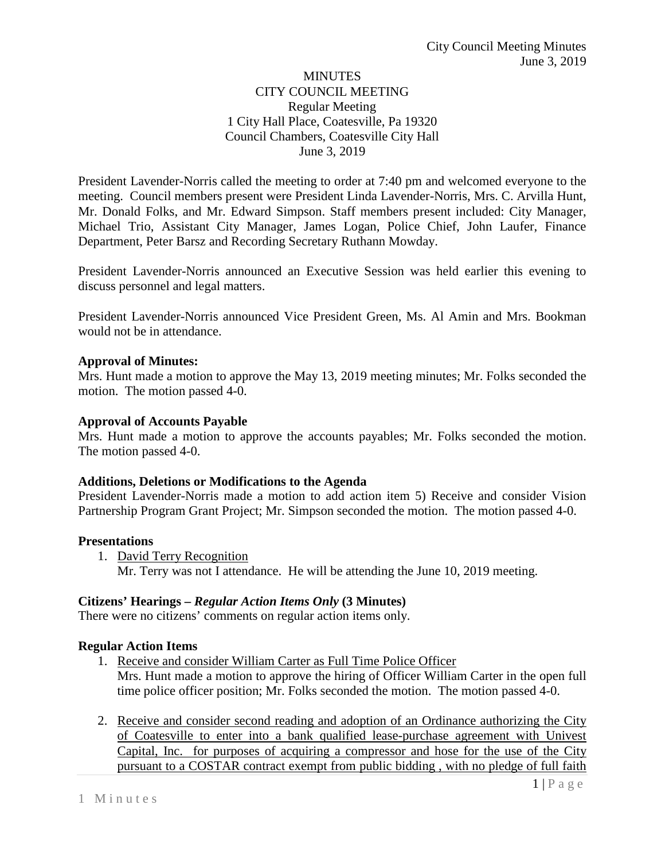### **MINUTES** CITY COUNCIL MEETING Regular Meeting 1 City Hall Place, Coatesville, Pa 19320 Council Chambers, Coatesville City Hall June 3, 2019

President Lavender-Norris called the meeting to order at 7:40 pm and welcomed everyone to the meeting. Council members present were President Linda Lavender-Norris, Mrs. C. Arvilla Hunt, Mr. Donald Folks, and Mr. Edward Simpson. Staff members present included: City Manager, Michael Trio, Assistant City Manager, James Logan, Police Chief, John Laufer, Finance Department, Peter Barsz and Recording Secretary Ruthann Mowday.

President Lavender-Norris announced an Executive Session was held earlier this evening to discuss personnel and legal matters.

President Lavender-Norris announced Vice President Green, Ms. Al Amin and Mrs. Bookman would not be in attendance.

### **Approval of Minutes:**

Mrs. Hunt made a motion to approve the May 13, 2019 meeting minutes; Mr. Folks seconded the motion. The motion passed 4-0.

### **Approval of Accounts Payable**

Mrs. Hunt made a motion to approve the accounts payables; Mr. Folks seconded the motion. The motion passed 4-0.

#### **Additions, Deletions or Modifications to the Agenda**

President Lavender-Norris made a motion to add action item 5) Receive and consider Vision Partnership Program Grant Project; Mr. Simpson seconded the motion. The motion passed 4-0.

#### **Presentations**

1. David Terry Recognition Mr. Terry was not I attendance. He will be attending the June 10, 2019 meeting.

# **Citizens' Hearings –** *Regular Action Items Only* **(3 Minutes)**

There were no citizens' comments on regular action items only.

# **Regular Action Items**

- 1. Receive and consider William Carter as Full Time Police Officer Mrs. Hunt made a motion to approve the hiring of Officer William Carter in the open full time police officer position; Mr. Folks seconded the motion. The motion passed 4-0.
- 2. Receive and consider second reading and adoption of an Ordinance authorizing the City of Coatesville to enter into a bank qualified lease-purchase agreement with Univest Capital, Inc. for purposes of acquiring a compressor and hose for the use of the City pursuant to a COSTAR contract exempt from public bidding , with no pledge of full faith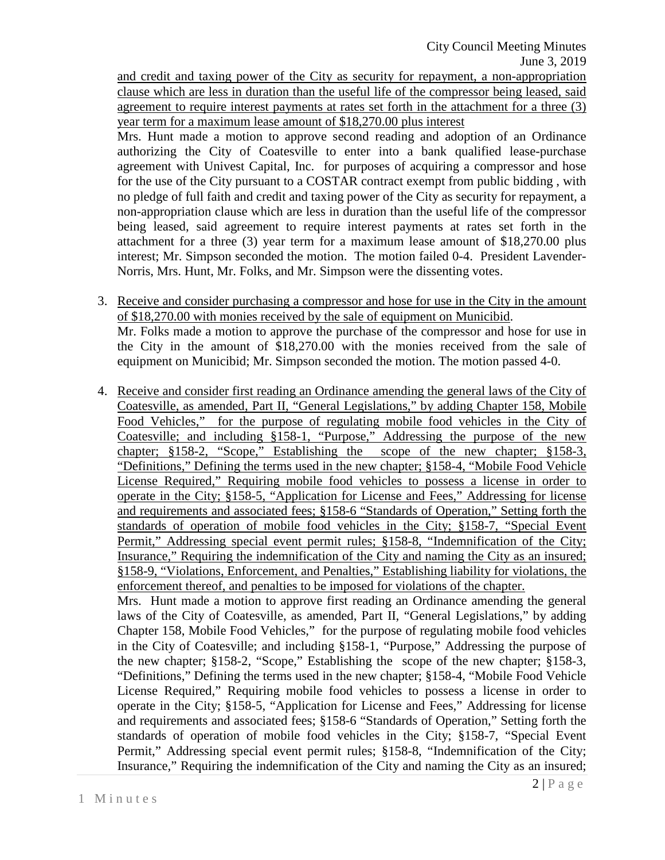and credit and taxing power of the City as security for repayment, a non-appropriation clause which are less in duration than the useful life of the compressor being leased, said agreement to require interest payments at rates set forth in the attachment for a three (3) year term for a maximum lease amount of \$18,270.00 plus interest

Mrs. Hunt made a motion to approve second reading and adoption of an Ordinance authorizing the City of Coatesville to enter into a bank qualified lease-purchase agreement with Univest Capital, Inc. for purposes of acquiring a compressor and hose for the use of the City pursuant to a COSTAR contract exempt from public bidding , with no pledge of full faith and credit and taxing power of the City as security for repayment, a non-appropriation clause which are less in duration than the useful life of the compressor being leased, said agreement to require interest payments at rates set forth in the attachment for a three (3) year term for a maximum lease amount of \$18,270.00 plus interest; Mr. Simpson seconded the motion. The motion failed 0-4. President Lavender-Norris, Mrs. Hunt, Mr. Folks, and Mr. Simpson were the dissenting votes.

- 3. Receive and consider purchasing a compressor and hose for use in the City in the amount of \$18,270.00 with monies received by the sale of equipment on Municibid. Mr. Folks made a motion to approve the purchase of the compressor and hose for use in the City in the amount of \$18,270.00 with the monies received from the sale of equipment on Municibid; Mr. Simpson seconded the motion. The motion passed 4-0.
- 4. Receive and consider first reading an Ordinance amending the general laws of the City of Coatesville, as amended, Part II, "General Legislations," by adding Chapter 158, Mobile Food Vehicles," for the purpose of regulating mobile food vehicles in the City of Coatesville; and including §158-1, "Purpose," Addressing the purpose of the new chapter; §158-2, "Scope," Establishing the scope of the new chapter; §158-3, "Definitions," Defining the terms used in the new chapter; §158-4, "Mobile Food Vehicle License Required," Requiring mobile food vehicles to possess a license in order to operate in the City; §158-5, "Application for License and Fees," Addressing for license and requirements and associated fees; §158-6 "Standards of Operation," Setting forth the standards of operation of mobile food vehicles in the City; §158-7, "Special Event Permit," Addressing special event permit rules; §158-8, "Indemnification of the City; Insurance," Requiring the indemnification of the City and naming the City as an insured; §158-9, "Violations, Enforcement, and Penalties," Establishing liability for violations, the enforcement thereof, and penalties to be imposed for violations of the chapter. Mrs. Hunt made a motion to approve first reading an Ordinance amending the general laws of the City of Coatesville, as amended, Part II, "General Legislations," by adding

Chapter 158, Mobile Food Vehicles," for the purpose of regulating mobile food vehicles in the City of Coatesville; and including §158-1, "Purpose," Addressing the purpose of the new chapter; §158-2, "Scope," Establishing the scope of the new chapter; §158-3, "Definitions," Defining the terms used in the new chapter; §158-4, "Mobile Food Vehicle License Required," Requiring mobile food vehicles to possess a license in order to operate in the City; §158-5, "Application for License and Fees," Addressing for license and requirements and associated fees; §158-6 "Standards of Operation," Setting forth the standards of operation of mobile food vehicles in the City; §158-7, "Special Event Permit," Addressing special event permit rules; §158-8, "Indemnification of the City; Insurance," Requiring the indemnification of the City and naming the City as an insured;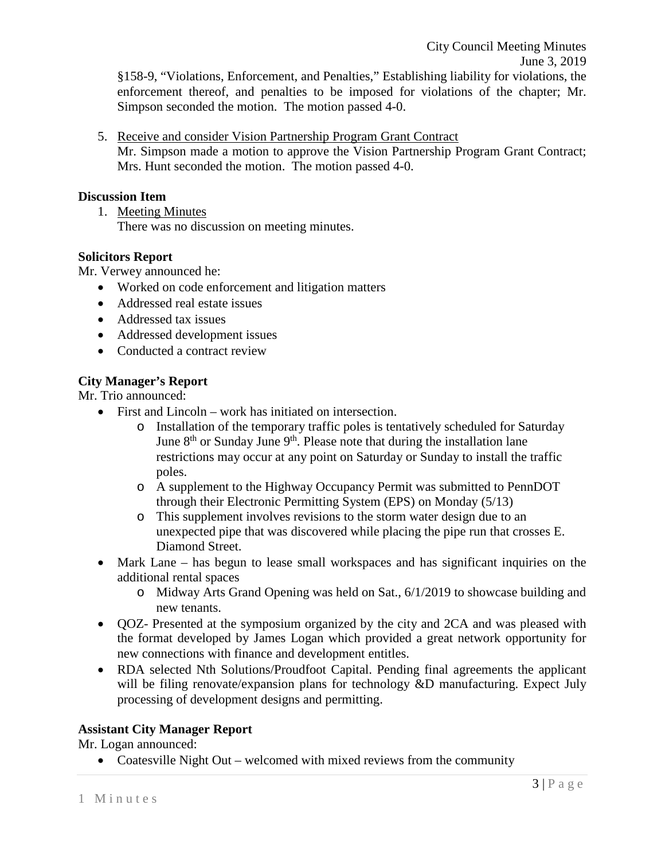§158-9, "Violations, Enforcement, and Penalties," Establishing liability for violations, the enforcement thereof, and penalties to be imposed for violations of the chapter; Mr. Simpson seconded the motion. The motion passed 4-0.

5. Receive and consider Vision Partnership Program Grant Contract Mr. Simpson made a motion to approve the Vision Partnership Program Grant Contract; Mrs. Hunt seconded the motion. The motion passed 4-0.

### **Discussion Item**

1. Meeting Minutes There was no discussion on meeting minutes.

#### **Solicitors Report**

Mr. Verwey announced he:

- Worked on code enforcement and litigation matters
- Addressed real estate issues
- Addressed tax issues
- Addressed development issues
- Conducted a contract review

### **City Manager's Report**

Mr. Trio announced:

- First and Lincoln work has initiated on intersection.
	- o Installation of the temporary traffic poles is tentatively scheduled for Saturday June  $8<sup>th</sup>$  or Sunday June  $9<sup>th</sup>$ . Please note that during the installation lane restrictions may occur at any point on Saturday or Sunday to install the traffic poles.
	- o A supplement to the Highway Occupancy Permit was submitted to PennDOT through their Electronic Permitting System (EPS) on Monday (5/13)
	- o This supplement involves revisions to the storm water design due to an unexpected pipe that was discovered while placing the pipe run that crosses E. Diamond Street.
- Mark Lane has begun to lease small workspaces and has significant inquiries on the additional rental spaces
	- o Midway Arts Grand Opening was held on Sat., 6/1/2019 to showcase building and new tenants.
- QOZ- Presented at the symposium organized by the city and 2CA and was pleased with the format developed by James Logan which provided a great network opportunity for new connections with finance and development entitles.
- RDA selected Nth Solutions/Proudfoot Capital. Pending final agreements the applicant will be filing renovate/expansion plans for technology &D manufacturing. Expect July processing of development designs and permitting.

# **Assistant City Manager Report**

Mr. Logan announced:

• Coatesville Night Out – welcomed with mixed reviews from the community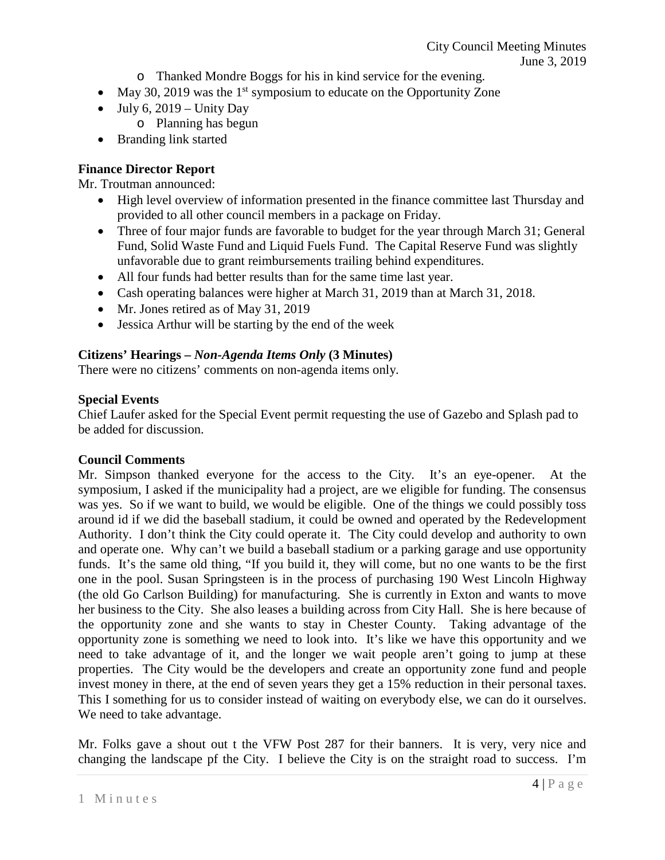- o Thanked Mondre Boggs for his in kind service for the evening.
- May 30, 2019 was the  $1<sup>st</sup>$  symposium to educate on the Opportunity Zone
- July 6,  $2019 -$  Unity Day
	- o Planning has begun
- Branding link started

# **Finance Director Report**

Mr. Troutman announced:

- High level overview of information presented in the finance committee last Thursday and provided to all other council members in a package on Friday.
- Three of four major funds are favorable to budget for the year through March 31; General Fund, Solid Waste Fund and Liquid Fuels Fund. The Capital Reserve Fund was slightly unfavorable due to grant reimbursements trailing behind expenditures.
- All four funds had better results than for the same time last year.
- Cash operating balances were higher at March 31, 2019 than at March 31, 2018.
- Mr. Jones retired as of May 31, 2019
- Jessica Arthur will be starting by the end of the week

# **Citizens' Hearings –** *Non-Agenda Items Only* **(3 Minutes)**

There were no citizens' comments on non-agenda items only.

### **Special Events**

Chief Laufer asked for the Special Event permit requesting the use of Gazebo and Splash pad to be added for discussion.

# **Council Comments**

Mr. Simpson thanked everyone for the access to the City. It's an eye-opener. At the symposium, I asked if the municipality had a project, are we eligible for funding. The consensus was yes. So if we want to build, we would be eligible. One of the things we could possibly toss around id if we did the baseball stadium, it could be owned and operated by the Redevelopment Authority. I don't think the City could operate it. The City could develop and authority to own and operate one. Why can't we build a baseball stadium or a parking garage and use opportunity funds. It's the same old thing, "If you build it, they will come, but no one wants to be the first one in the pool. Susan Springsteen is in the process of purchasing 190 West Lincoln Highway (the old Go Carlson Building) for manufacturing. She is currently in Exton and wants to move her business to the City. She also leases a building across from City Hall. She is here because of the opportunity zone and she wants to stay in Chester County. Taking advantage of the opportunity zone is something we need to look into. It's like we have this opportunity and we need to take advantage of it, and the longer we wait people aren't going to jump at these properties. The City would be the developers and create an opportunity zone fund and people invest money in there, at the end of seven years they get a 15% reduction in their personal taxes. This I something for us to consider instead of waiting on everybody else, we can do it ourselves. We need to take advantage.

Mr. Folks gave a shout out t the VFW Post 287 for their banners. It is very, very nice and changing the landscape pf the City. I believe the City is on the straight road to success. I'm